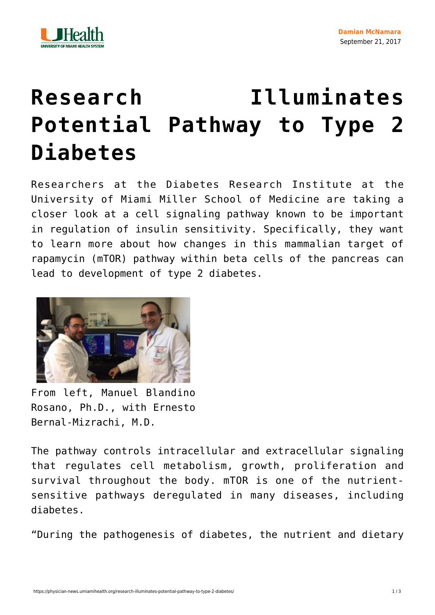

## **[Research Illuminates](https://physician-news.umiamihealth.org/research-illuminates-potential-pathway-to-type-2-diabetes/) [Potential Pathway to Type 2](https://physician-news.umiamihealth.org/research-illuminates-potential-pathway-to-type-2-diabetes/) [Diabetes](https://physician-news.umiamihealth.org/research-illuminates-potential-pathway-to-type-2-diabetes/)**

Researchers at the Diabetes Research Institute at the University of Miami Miller School of Medicine are taking a closer look at a cell signaling pathway known to be important in regulation of insulin sensitivity. Specifically, they want to learn more about how changes in this mammalian target of rapamycin (mTOR) pathway within beta cells of the pancreas can lead to development of type 2 diabetes.



From left, Manuel Blandino Rosano, Ph.D., with Ernesto Bernal-Mizrachi, M.D.

The pathway controls intracellular and extracellular signaling that regulates cell metabolism, growth, proliferation and survival throughout the body. mTOR is one of the nutrientsensitive pathways deregulated in many diseases, including diabetes.

"During the pathogenesis of diabetes, the nutrient and dietary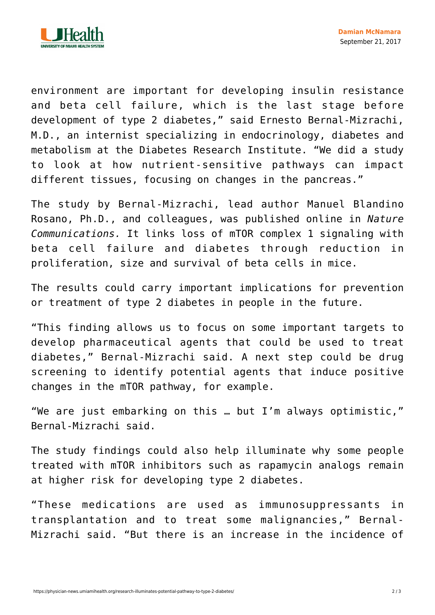

environment are important for developing insulin resistance and beta cell failure, which is the last stage before development of type 2 diabetes," said Ernesto Bernal-Mizrachi, M.D., an internist specializing in endocrinology, diabetes and metabolism at the Diabetes Research Institute. "We did a study to look at how nutrient-sensitive pathways can impact different tissues, focusing on changes in the pancreas."

The study by Bernal-Mizrachi, lead author Manuel Blandino Rosano, Ph.D., and colleagues, was published [online](https://www.nature.com/articles/ncomms16014) in *Nature Communications.* It links loss of mTOR complex 1 signaling with beta cell failure and diabetes through reduction in proliferation, size and survival of beta cells in mice.

The results could carry important implications for prevention or treatment of type 2 diabetes in people in the future.

"This finding allows us to focus on some important targets to develop pharmaceutical agents that could be used to treat diabetes," Bernal-Mizrachi said. A next step could be drug screening to identify potential agents that induce positive changes in the mTOR pathway, for example.

"We are just embarking on this … but I'm always optimistic," Bernal-Mizrachi said.

The study findings could also help illuminate why some people treated with mTOR inhibitors such as rapamycin analogs remain at higher risk for developing type 2 diabetes.

"These medications are used as immunosuppressants in transplantation and to treat some malignancies," Bernal-Mizrachi said. "But there is an increase in the incidence of